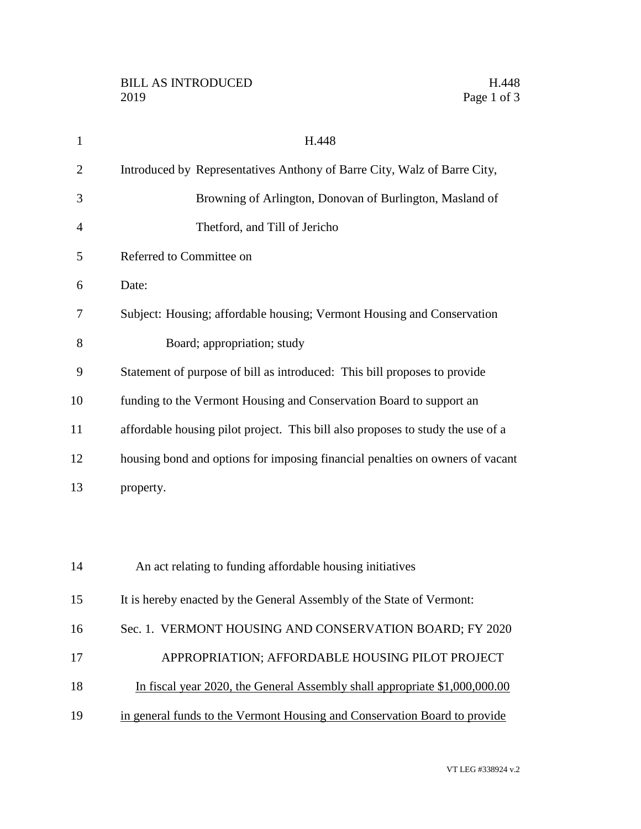| $\mathbf{1}$   | H.448                                                                           |
|----------------|---------------------------------------------------------------------------------|
| $\overline{2}$ | Introduced by Representatives Anthony of Barre City, Walz of Barre City,        |
| 3              | Browning of Arlington, Donovan of Burlington, Masland of                        |
| $\overline{4}$ | Thetford, and Till of Jericho                                                   |
| 5              | Referred to Committee on                                                        |
| 6              | Date:                                                                           |
| 7              | Subject: Housing; affordable housing; Vermont Housing and Conservation          |
| 8              | Board; appropriation; study                                                     |
| 9              | Statement of purpose of bill as introduced: This bill proposes to provide       |
| 10             | funding to the Vermont Housing and Conservation Board to support an             |
| 11             | affordable housing pilot project. This bill also proposes to study the use of a |
| 12             | housing bond and options for imposing financial penalties on owners of vacant   |
| 13             | property.                                                                       |
|                |                                                                                 |
|                |                                                                                 |
| 14             | An act relating to funding affordable housing initiatives                       |
| 15             | It is hereby enacted by the General Assembly of the State of Vermont:           |
| 16             | Sec. 1. VERMONT HOUSING AND CONSERVATION BOARD; FY 2020                         |
| 17             | APPROPRIATION; AFFORDABLE HOUSING PILOT PROJECT                                 |
| 18             | In fiscal year 2020, the General Assembly shall appropriate \$1,000,000.00      |
| 19             | in general funds to the Vermont Housing and Conservation Board to provide       |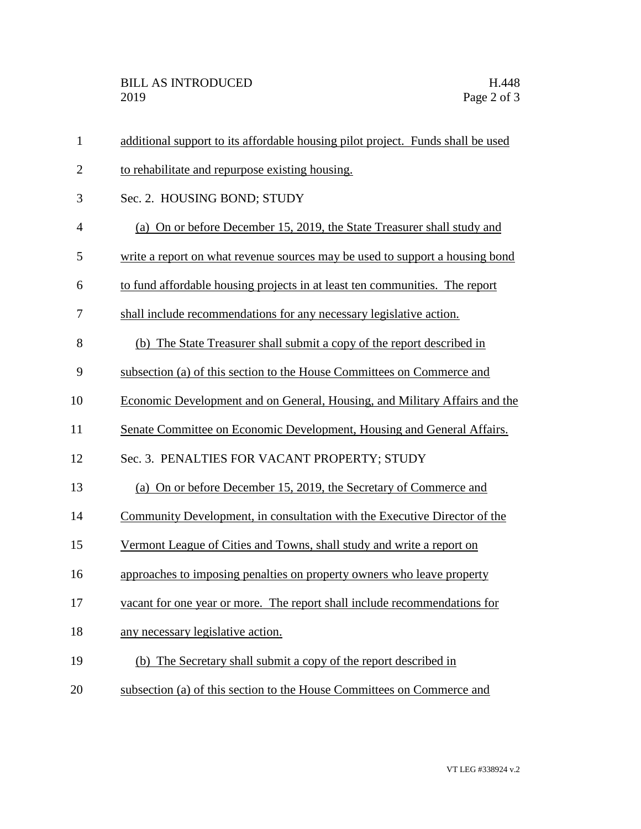| $\mathbf{1}$   | additional support to its affordable housing pilot project. Funds shall be used |
|----------------|---------------------------------------------------------------------------------|
| $\overline{2}$ | to rehabilitate and repurpose existing housing.                                 |
| 3              | Sec. 2. HOUSING BOND; STUDY                                                     |
| $\overline{4}$ | (a) On or before December 15, 2019, the State Treasurer shall study and         |
| 5              | write a report on what revenue sources may be used to support a housing bond    |
| 6              | to fund affordable housing projects in at least ten communities. The report     |
| 7              | shall include recommendations for any necessary legislative action.             |
| 8              | (b) The State Treasurer shall submit a copy of the report described in          |
| 9              | subsection (a) of this section to the House Committees on Commerce and          |
| 10             | Economic Development and on General, Housing, and Military Affairs and the      |
| 11             | Senate Committee on Economic Development, Housing and General Affairs.          |
| 12             | Sec. 3. PENALTIES FOR VACANT PROPERTY; STUDY                                    |
| 13             | (a) On or before December 15, 2019, the Secretary of Commerce and               |
| 14             | Community Development, in consultation with the Executive Director of the       |
| 15             | Vermont League of Cities and Towns, shall study and write a report on           |
| 16             | approaches to imposing penalties on property owners who leave property          |
| 17             | vacant for one year or more. The report shall include recommendations for       |
| 18             | any necessary legislative action.                                               |
| 19             | (b) The Secretary shall submit a copy of the report described in                |
| 20             | subsection (a) of this section to the House Committees on Commerce and          |